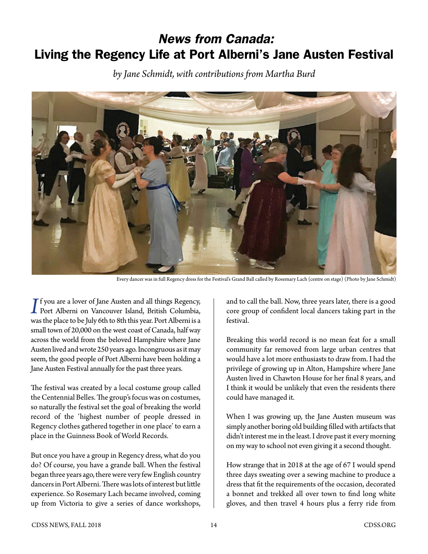## *News from Canada:* Living the Regency Life at Port Alberni's Jane Austen Festival

*by Jane Schmidt, with contributions from Martha Burd*



Every dancer was in full Regency dress for the Festival's Grand Ball called by Rosemary Lach (centre on stage) (Photo by Jane Schmidt)

**I**<sup>I</sup> you are a lover of Jane Austen and all things Regency,<br>Port Alberni on Vancouver Island, British Columbia,  $\mathsf{T}$  f you are a lover of Jane Austen and all things Regency, was the place to be July 6th to 8th this year. Port Alberni is a small town of 20,000 on the west coast of Canada, half way across the world from the beloved Hampshire where Jane Austen lived and wrote 250 years ago. Incongruous as it may seem, the good people of Port Alberni have been holding a Jane Austen Festival annually for the past three years.

The festival was created by a local costume group called the Centennial Belles. The group's focus was on costumes, so naturally the festival set the goal of breaking the world record of the 'highest number of people dressed in Regency clothes gathered together in one place' to earn a place in the Guinness Book of World Records.

But once you have a group in Regency dress, what do you do? Of course, you have a grande ball. When the festival began three years ago, there were very few English country dancers in Port Alberni. There was lots of interest but little experience. So Rosemary Lach became involved, coming up from Victoria to give a series of dance workshops,

and to call the ball. Now, three years later, there is a good core group of confident local dancers taking part in the festival.

Breaking this world record is no mean feat for a small community far removed from large urban centres that would have a lot more enthusiasts to draw from. I had the privilege of growing up in Alton, Hampshire where Jane Austen lived in Chawton House for her final 8 years, and I think it would be unlikely that even the residents there could have managed it.

When I was growing up, the Jane Austen museum was simply another boring old building filled with artifacts that didn't interest me in the least. I drove past it every morning on my way to school not even giving it a second thought.

How strange that in 2018 at the age of 67 I would spend three days sweating over a sewing machine to produce a dress that fit the requirements of the occasion, decorated a bonnet and trekked all over town to find long white gloves, and then travel 4 hours plus a ferry ride from